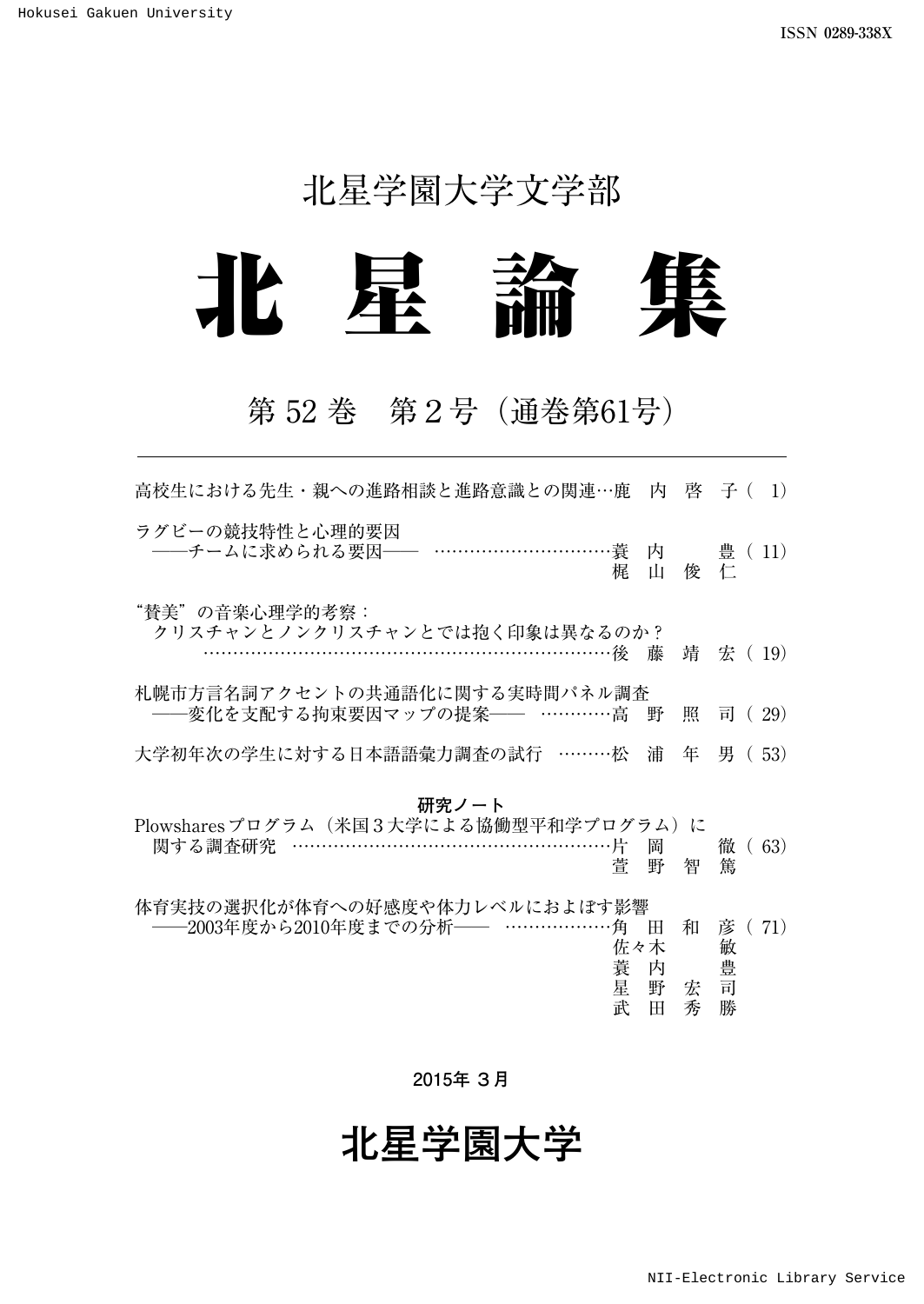## 北星学園大学文学部



## 第 52 巻 第2号(通巻第61号)

| 高校生における先生・親への進路相談と進路意識との関連…鹿 内 啓 子(                                                |                         |             | $\vert$ 1)                   |
|------------------------------------------------------------------------------------|-------------------------|-------------|------------------------------|
| ラグビーの競技特性と心理的要因<br>梶                                                               | Ш                       | 俊仁          | 内 豊 (11)                     |
| "賛美"の音楽心理学的考察:<br>クリスチャンとノンクリスチャンとでは抱く印象は異なるのか?<br>…………………………………………………………後 藤       |                         |             | 靖 宏 (19)                     |
| 札幌市方言名詞アクセントの共通語化に関する実時間パネル調査<br>-変化を支配する拘束要因マップの提案―― …………高                        | 野                       | 照           | 司 (29)                       |
| 大学初年次の学生に対する日本語語彙力調査の試行 ………松                                                       | 浦                       | 年           | 男 (53)                       |
| 研究ノート<br>Plowsharesプログラム(米国3大学による協働型平和学プログラム)に<br>関する調査研究 ………………………………………………片<br>菅 | 岡<br>野                  | 智           | 徹<br>(63)<br>篤               |
| 体育実技の選択化が体育への好感度や体力レベルにおよぼす影響<br>——2003年度から2010年度までの分析—— ………………角<br>蓑<br>星<br>武    | Ħ<br>佐々木<br>内<br>野<br>田 | 和<br>宏<br>秀 | 71)<br>彦<br>敏<br>豊<br>司<br>勝 |

**2015年 3月**

# **北星学園大学**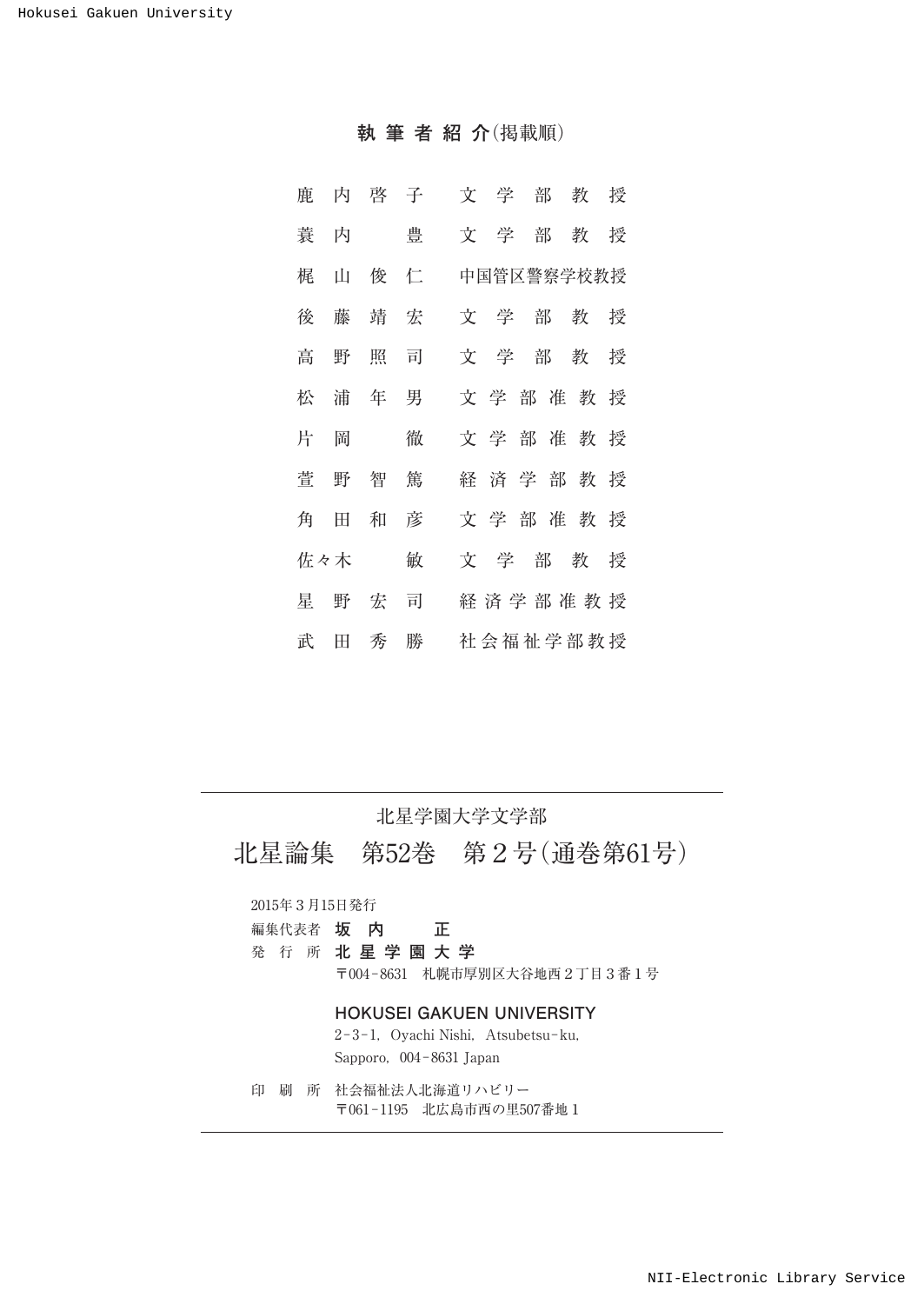**執筆者紹介**(掲載順)

| 鹿 | 内   | 啓 子 |   | 文 学<br>部 教 授       |  |
|---|-----|-----|---|--------------------|--|
| 蓑 | 内   |     | 豊 | 文<br>学<br>部 教<br>授 |  |
| 梶 | 山   | 俊 仁 |   | 中国管区警察学校教授         |  |
| 後 | 藤   | 靖 宏 |   | 文学部教授              |  |
| 高 | 野   | 照   | 司 | 文<br>学<br>部 教 授    |  |
| 松 | 浦   | 年   | 男 | 文学部准教授             |  |
| 片 | 岡   |     | 徹 | 文学部准教授             |  |
| 菅 | 野   | 智   | 篤 | 経済学部教授             |  |
| 角 | 田   | 和   | 彦 | 文学部准教授             |  |
|   | 佐々木 |     | 敏 | 文学部教授              |  |
| 星 |     | 野 宏 | 司 | 経済学部准教授            |  |
| 武 | 田   | 秀   | 勝 | 社会福祉学部教授           |  |

#### 北星学園大学文学部

北星論集 第52巻 第2号(通巻第61号)

#### 2015年3月15日発行

- 編集代表者 **坂 内 正**
- 発 行 所 **北星学園大学**

〒004-8631 札幌市厚別区大谷地西2丁目3番1号

#### **HOKUSEI GAKUEN UNIVERSITY**

2-3-1, Oyachi Nishi, Atsubetsu-ku, Sapporo,004-8631 Japan

印 刷 所 社会福祉法人北海道リハビリー 〒061-1195 北広島市西の里507番地1